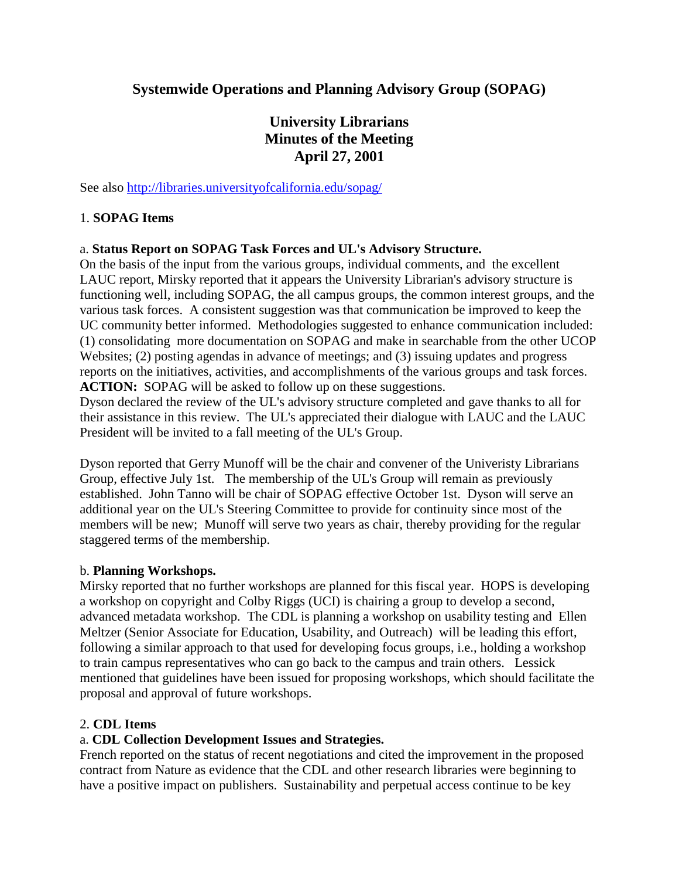## **Systemwide Operations and Planning Advisory Group (SOPAG)**

# **University Librarians Minutes of the Meeting April 27, 2001**

See also http://libraries.universityofcalifornia.edu/sopag/

#### 1. **SOPAG Items**

#### a. **Status Report on SOPAG Task Forces and UL's Advisory Structure.**

On the basis of the input from the various groups, individual comments, and the excellent LAUC report, Mirsky reported that it appears the University Librarian's advisory structure is functioning well, including SOPAG, the all campus groups, the common interest groups, and the various task forces. A consistent suggestion was that communication be improved to keep the UC community better informed. Methodologies suggested to enhance communication included: (1) consolidating more documentation on SOPAG and make in searchable from the other UCOP Websites; (2) posting agendas in advance of meetings; and (3) issuing updates and progress reports on the initiatives, activities, and accomplishments of the various groups and task forces. **ACTION:** SOPAG will be asked to follow up on these suggestions.

Dyson declared the review of the UL's advisory structure completed and gave thanks to all for their assistance in this review. The UL's appreciated their dialogue with LAUC and the LAUC President will be invited to a fall meeting of the UL's Group.

Dyson reported that Gerry Munoff will be the chair and convener of the Univeristy Librarians Group, effective July 1st. The membership of the UL's Group will remain as previously established. John Tanno will be chair of SOPAG effective October 1st. Dyson will serve an additional year on the UL's Steering Committee to provide for continuity since most of the members will be new; Munoff will serve two years as chair, thereby providing for the regular staggered terms of the membership.

#### b. **Planning Workshops.**

Mirsky reported that no further workshops are planned for this fiscal year. HOPS is developing a workshop on copyright and Colby Riggs (UCI) is chairing a group to develop a second, advanced metadata workshop. The CDL is planning a workshop on usability testing and Ellen Meltzer (Senior Associate for Education, Usability, and Outreach) will be leading this effort, following a similar approach to that used for developing focus groups, i.e., holding a workshop to train campus representatives who can go back to the campus and train others. Lessick mentioned that guidelines have been issued for proposing workshops, which should facilitate the proposal and approval of future workshops.

## 2. **CDL Items**

## a. **CDL Collection Development Issues and Strategies.**

French reported on the status of recent negotiations and cited the improvement in the proposed contract from Nature as evidence that the CDL and other research libraries were beginning to have a positive impact on publishers. Sustainability and perpetual access continue to be key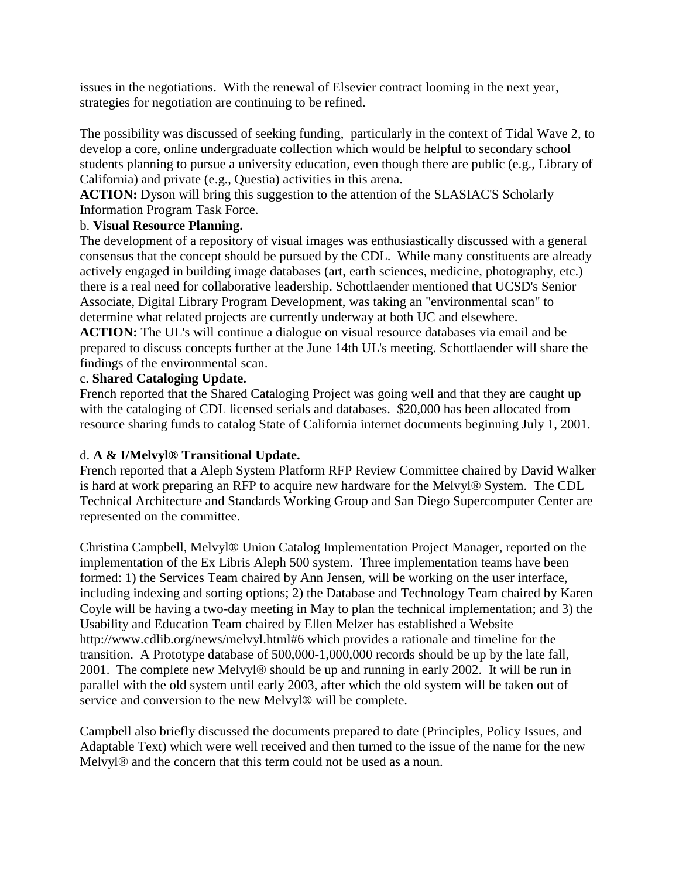issues in the negotiations. With the renewal of Elsevier contract looming in the next year, strategies for negotiation are continuing to be refined.

The possibility was discussed of seeking funding, particularly in the context of Tidal Wave 2, to develop a core, online undergraduate collection which would be helpful to secondary school students planning to pursue a university education, even though there are public (e.g., Library of California) and private (e.g., Questia) activities in this arena.

**ACTION:** Dyson will bring this suggestion to the attention of the SLASIAC'S Scholarly Information Program Task Force.

## b. **Visual Resource Planning.**

The development of a repository of visual images was enthusiastically discussed with a general consensus that the concept should be pursued by the CDL. While many constituents are already actively engaged in building image databases (art, earth sciences, medicine, photography, etc.) there is a real need for collaborative leadership. Schottlaender mentioned that UCSD's Senior Associate, Digital Library Program Development, was taking an "environmental scan" to determine what related projects are currently underway at both UC and elsewhere.

**ACTION:** The UL's will continue a dialogue on visual resource databases via email and be prepared to discuss concepts further at the June 14th UL's meeting. Schottlaender will share the findings of the environmental scan.

## c. **Shared Cataloging Update.**

French reported that the Shared Cataloging Project was going well and that they are caught up with the cataloging of CDL licensed serials and databases. \$20,000 has been allocated from resource sharing funds to catalog State of California internet documents beginning July 1, 2001.

## d. **A & I/Melvyl® Transitional Update.**

French reported that a Aleph System Platform RFP Review Committee chaired by David Walker is hard at work preparing an RFP to acquire new hardware for the Melvyl® System. The CDL Technical Architecture and Standards Working Group and San Diego Supercomputer Center are represented on the committee.

Christina Campbell, Melvyl® Union Catalog Implementation Project Manager, reported on the implementation of the Ex Libris Aleph 500 system. Three implementation teams have been formed: 1) the Services Team chaired by Ann Jensen, will be working on the user interface, including indexing and sorting options; 2) the Database and Technology Team chaired by Karen Coyle will be having a two-day meeting in May to plan the technical implementation; and 3) the Usability and Education Team chaired by Ellen Melzer has established a Website http://www.cdlib.org/news/melvyl.html#6 which provides a rationale and timeline for the transition. A Prototype database of 500,000-1,000,000 records should be up by the late fall, 2001. The complete new Melvyl® should be up and running in early 2002. It will be run in parallel with the old system until early 2003, after which the old system will be taken out of service and conversion to the new Melvyl® will be complete.

Campbell also briefly discussed the documents prepared to date (Principles, Policy Issues, and Adaptable Text) which were well received and then turned to the issue of the name for the new Melvyl® and the concern that this term could not be used as a noun.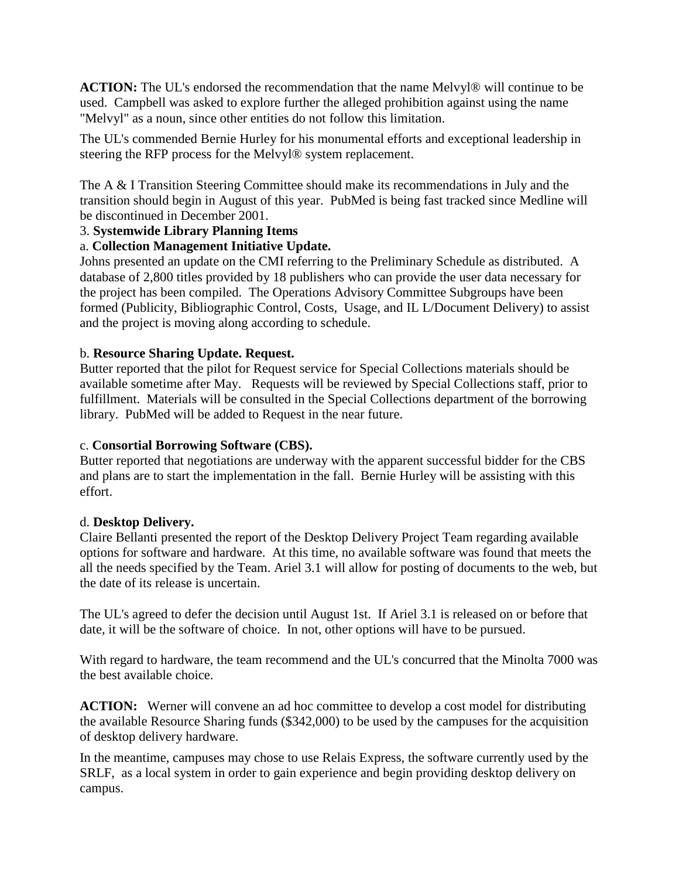**ACTION:** The UL's endorsed the recommendation that the name Melvyl® will continue to be used. Campbell was asked to explore further the alleged prohibition against using the name "Melvyl" as a noun, since other entities do not follow this limitation.

The UL's commended Bernie Hurley for his monumental efforts and exceptional leadership in steering the RFP process for the Melvyl® system replacement.

The A & I Transition Steering Committee should make its recommendations in July and the transition should begin in August of this year. PubMed is being fast tracked since Medline will be discontinued in December 2001.

## 3. **Systemwide Library Planning Items**

## a. **Collection Management Initiative Update.**

Johns presented an update on the CMI referring to the Preliminary Schedule as distributed. A database of 2,800 titles provided by 18 publishers who can provide the user data necessary for the project has been compiled. The Operations Advisory Committee Subgroups have been formed (Publicity, Bibliographic Control, Costs, Usage, and IL L/Document Delivery) to assist and the project is moving along according to schedule.

## b. **Resource Sharing Update. Request.**

Butter reported that the pilot for Request service for Special Collections materials should be available sometime after May. Requests will be reviewed by Special Collections staff, prior to fulfillment. Materials will be consulted in the Special Collections department of the borrowing library. PubMed will be added to Request in the near future.

## c. **Consortial Borrowing Software (CBS).**

Butter reported that negotiations are underway with the apparent successful bidder for the CBS and plans are to start the implementation in the fall. Bernie Hurley will be assisting with this effort.

## d. **Desktop Delivery.**

Claire Bellanti presented the report of the Desktop Delivery Project Team regarding available options for software and hardware. At this time, no available software was found that meets the all the needs specified by the Team. Ariel 3.1 will allow for posting of documents to the web, but the date of its release is uncertain.

The UL's agreed to defer the decision until August 1st. If Ariel 3.1 is released on or before that date, it will be the software of choice. In not, other options will have to be pursued.

With regard to hardware, the team recommend and the UL's concurred that the Minolta 7000 was the best available choice.

**ACTION:** Werner will convene an ad hoc committee to develop a cost model for distributing the available Resource Sharing funds (\$342,000) to be used by the campuses for the acquisition of desktop delivery hardware.

In the meantime, campuses may chose to use Relais Express, the software currently used by the SRLF, as a local system in order to gain experience and begin providing desktop delivery on campus.